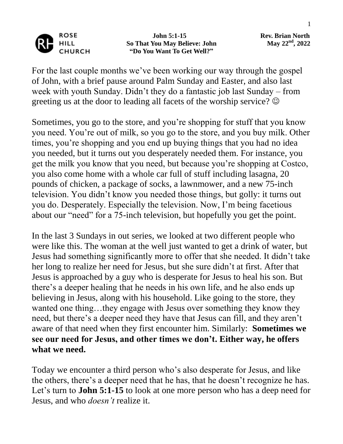

 **John 5:1-15 Rev. Brian North So That You May Believe: John "Do You Want To Get Well?"**

May 22<sup>nd</sup>, 2022

For the last couple months we've been working our way through the gospel of John, with a brief pause around Palm Sunday and Easter, and also last week with youth Sunday. Didn't they do a fantastic job last Sunday – from greeting us at the door to leading all facets of the worship service?  $\odot$ 

Sometimes, you go to the store, and you're shopping for stuff that you know you need. You're out of milk, so you go to the store, and you buy milk. Other times, you're shopping and you end up buying things that you had no idea you needed, but it turns out you desperately needed them. For instance, you get the milk you know that you need, but because you're shopping at Costco, you also come home with a whole car full of stuff including lasagna, 20 pounds of chicken, a package of socks, a lawnmower, and a new 75-inch television. You didn't know you needed those things, but golly: it turns out you do. Desperately. Especially the television. Now, I'm being facetious about our "need" for a 75-inch television, but hopefully you get the point.

In the last 3 Sundays in out series, we looked at two different people who were like this. The woman at the well just wanted to get a drink of water, but Jesus had something significantly more to offer that she needed. It didn't take her long to realize her need for Jesus, but she sure didn't at first. After that Jesus is approached by a guy who is desperate for Jesus to heal his son. But there's a deeper healing that he needs in his own life, and he also ends up believing in Jesus, along with his household. Like going to the store, they wanted one thing...they engage with Jesus over something they know they need, but there's a deeper need they have that Jesus can fill, and they aren't aware of that need when they first encounter him. Similarly: **Sometimes we see our need for Jesus, and other times we don't. Either way, he offers what we need.**

Today we encounter a third person who's also desperate for Jesus, and like the others, there's a deeper need that he has, that he doesn't recognize he has. Let's turn to **John 5:1-15** to look at one more person who has a deep need for Jesus, and who *doesn't* realize it.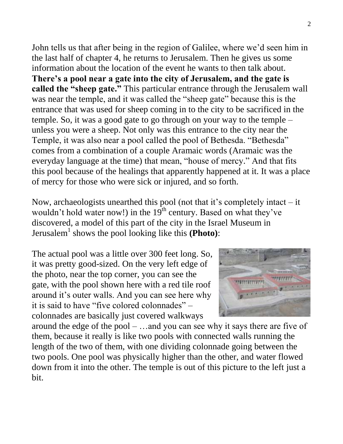John tells us that after being in the region of Galilee, where we'd seen him in the last half of chapter 4, he returns to Jerusalem. Then he gives us some information about the location of the event he wants to then talk about. **There's a pool near a gate into the city of Jerusalem, and the gate is called the "sheep gate."** This particular entrance through the Jerusalem wall was near the temple, and it was called the "sheep gate" because this is the entrance that was used for sheep coming in to the city to be sacrificed in the temple. So, it was a good gate to go through on your way to the temple – unless you were a sheep. Not only was this entrance to the city near the Temple, it was also near a pool called the pool of Bethesda. "Bethesda" comes from a combination of a couple Aramaic words (Aramaic was the everyday language at the time) that mean, "house of mercy." And that fits this pool because of the healings that apparently happened at it. It was a place of mercy for those who were sick or injured, and so forth.

Now, archaeologists unearthed this pool (not that it's completely intact – it wouldn't hold water now!) in the  $19<sup>th</sup>$  century. Based on what they've discovered, a model of this part of the city in the Israel Museum in Jerusalem<sup>1</sup> shows the pool looking like this **(Photo)**:

The actual pool was a little over 300 feet long. So, it was pretty good-sized. On the very left edge of the photo, near the top corner, you can see the gate, with the pool shown here with a red tile roof around it's outer walls. And you can see here why it is said to have "five colored colonnades" – colonnades are basically just covered walkways



around the edge of the pool – …and you can see why it says there are five of them, because it really is like two pools with connected walls running the length of the two of them, with one dividing colonnade going between the two pools. One pool was physically higher than the other, and water flowed down from it into the other. The temple is out of this picture to the left just a bit.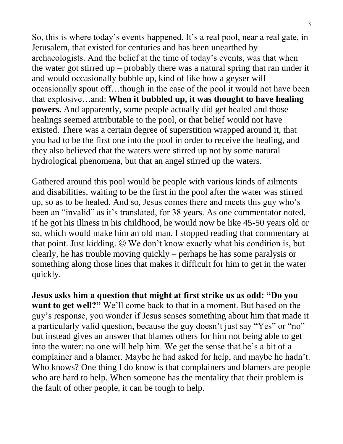So, this is where today's events happened. It's a real pool, near a real gate, in Jerusalem, that existed for centuries and has been unearthed by archaeologists. And the belief at the time of today's events, was that when the water got stirred up – probably there was a natural spring that ran under it and would occasionally bubble up, kind of like how a geyser will occasionally spout off…though in the case of the pool it would not have been that explosive…and: **When it bubbled up, it was thought to have healing powers.** And apparently, some people actually did get healed and those healings seemed attributable to the pool, or that belief would not have existed. There was a certain degree of superstition wrapped around it, that you had to be the first one into the pool in order to receive the healing, and they also believed that the waters were stirred up not by some natural hydrological phenomena, but that an angel stirred up the waters.

Gathered around this pool would be people with various kinds of ailments and disabilities, waiting to be the first in the pool after the water was stirred up, so as to be healed. And so, Jesus comes there and meets this guy who's been an "invalid" as it's translated, for 38 years. As one commentator noted, if he got his illness in his childhood, he would now be like 45-50 years old or so, which would make him an old man. I stopped reading that commentary at that point. Just kidding.  $\odot$  We don't know exactly what his condition is, but clearly, he has trouble moving quickly – perhaps he has some paralysis or something along those lines that makes it difficult for him to get in the water quickly.

**Jesus asks him a question that might at first strike us as odd: "Do you want to get well?"** We'll come back to that in a moment. But based on the guy's response, you wonder if Jesus senses something about him that made it a particularly valid question, because the guy doesn't just say "Yes" or "no" but instead gives an answer that blames others for him not being able to get into the water: no one will help him. We get the sense that he's a bit of a complainer and a blamer. Maybe he had asked for help, and maybe he hadn't. Who knows? One thing I do know is that complainers and blamers are people who are hard to help. When someone has the mentality that their problem is the fault of other people, it can be tough to help.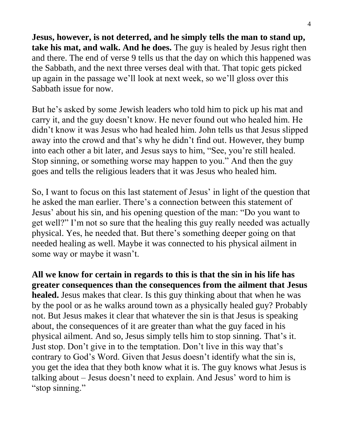**Jesus, however, is not deterred, and he simply tells the man to stand up, take his mat, and walk. And he does.** The guy is healed by Jesus right then and there. The end of verse 9 tells us that the day on which this happened was the Sabbath, and the next three verses deal with that. That topic gets picked up again in the passage we'll look at next week, so we'll gloss over this Sabbath issue for now.

But he's asked by some Jewish leaders who told him to pick up his mat and carry it, and the guy doesn't know. He never found out who healed him. He didn't know it was Jesus who had healed him. John tells us that Jesus slipped away into the crowd and that's why he didn't find out. However, they bump into each other a bit later, and Jesus says to him, "See, you're still healed. Stop sinning, or something worse may happen to you." And then the guy goes and tells the religious leaders that it was Jesus who healed him.

So, I want to focus on this last statement of Jesus' in light of the question that he asked the man earlier. There's a connection between this statement of Jesus' about his sin, and his opening question of the man: "Do you want to get well?" I'm not so sure that the healing this guy really needed was actually physical. Yes, he needed that. But there's something deeper going on that needed healing as well. Maybe it was connected to his physical ailment in some way or maybe it wasn't.

**All we know for certain in regards to this is that the sin in his life has greater consequences than the consequences from the ailment that Jesus healed.** Jesus makes that clear. Is this guy thinking about that when he was by the pool or as he walks around town as a physically healed guy? Probably not. But Jesus makes it clear that whatever the sin is that Jesus is speaking about, the consequences of it are greater than what the guy faced in his physical ailment. And so, Jesus simply tells him to stop sinning. That's it. Just stop. Don't give in to the temptation. Don't live in this way that's contrary to God's Word. Given that Jesus doesn't identify what the sin is, you get the idea that they both know what it is. The guy knows what Jesus is talking about – Jesus doesn't need to explain. And Jesus' word to him is "stop sinning."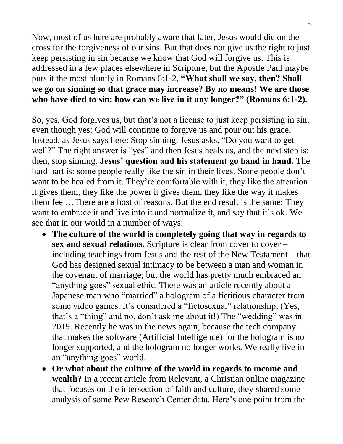Now, most of us here are probably aware that later, Jesus would die on the cross for the forgiveness of our sins. But that does not give us the right to just keep persisting in sin because we know that God will forgive us. This is addressed in a few places elsewhere in Scripture, but the Apostle Paul maybe puts it the most bluntly in Romans 6:1-2, **"What shall we say, then? Shall we go on sinning so that grace may increase? By no means! We are those who have died to sin; how can we live in it any longer?" (Romans 6:1-2).**

So, yes, God forgives us, but that's not a license to just keep persisting in sin, even though yes: God will continue to forgive us and pour out his grace. Instead, as Jesus says here: Stop sinning. Jesus asks, "Do you want to get well?" The right answer is "yes" and then Jesus heals us, and the next step is: then, stop sinning. **Jesus' question and his statement go hand in hand.** The hard part is: some people really like the sin in their lives. Some people don't want to be healed from it. They're comfortable with it, they like the attention it gives them, they like the power it gives them, they like the way it makes them feel…There are a host of reasons. But the end result is the same: They want to embrace it and live into it and normalize it, and say that it's ok. We see that in our world in a number of ways:

- **The culture of the world is completely going that way in regards to sex and sexual relations.** Scripture is clear from cover to cover – including teachings from Jesus and the rest of the New Testament – that God has designed sexual intimacy to be between a man and woman in the covenant of marriage; but the world has pretty much embraced an "anything goes" sexual ethic. There was an article recently about a Japanese man who "married" a hologram of a fictitious character from some video games. It's considered a "fictosexual" relationship. (Yes, that's a "thing" and no, don't ask me about it!) The "wedding" was in 2019. Recently he was in the news again, because the tech company that makes the software (Artificial Intelligence) for the hologram is no longer supported, and the hologram no longer works. We really live in an "anything goes" world.
- **Or what about the culture of the world in regards to income and wealth?** In a recent article from Relevant, a Christian online magazine that focuses on the intersection of faith and culture, they shared some analysis of some Pew Research Center data. Here's one point from the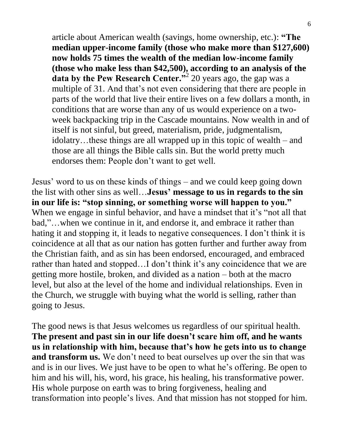article about American wealth (savings, home ownership, etc.): **"The median upper-income family (those who make more than \$127,600) now holds 75 times the wealth of the median low-income family (those who make less than \$42,500), according to an analysis of the data by the Pew Research Center.**<sup>2</sup> 20 years ago, the gap was a multiple of 31. And that's not even considering that there are people in parts of the world that live their entire lives on a few dollars a month, in conditions that are worse than any of us would experience on a twoweek backpacking trip in the Cascade mountains. Now wealth in and of itself is not sinful, but greed, materialism, pride, judgmentalism, idolatry…these things are all wrapped up in this topic of wealth – and those are all things the Bible calls sin. But the world pretty much endorses them: People don't want to get well.

Jesus' word to us on these kinds of things – and we could keep going down the list with other sins as well…**Jesus' message to us in regards to the sin in our life is: "stop sinning, or something worse will happen to you."** When we engage in sinful behavior, and have a mindset that it's "not all that bad,"…when we continue in it, and endorse it, and embrace it rather than hating it and stopping it, it leads to negative consequences. I don't think it is coincidence at all that as our nation has gotten further and further away from the Christian faith, and as sin has been endorsed, encouraged, and embraced rather than hated and stopped…I don't think it's any coincidence that we are getting more hostile, broken, and divided as a nation – both at the macro level, but also at the level of the home and individual relationships. Even in the Church, we struggle with buying what the world is selling, rather than going to Jesus.

The good news is that Jesus welcomes us regardless of our spiritual health. **The present and past sin in our life doesn't scare him off, and he wants us in relationship with him, because that's how he gets into us to change and transform us.** We don't need to beat ourselves up over the sin that was and is in our lives. We just have to be open to what he's offering. Be open to him and his will, his, word, his grace, his healing, his transformative power. His whole purpose on earth was to bring forgiveness, healing and transformation into people's lives. And that mission has not stopped for him.